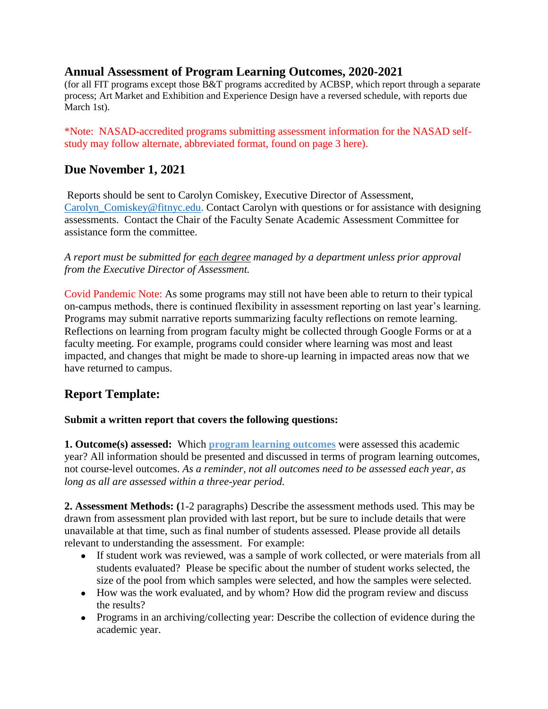### **Annual Assessment of Program Learning Outcomes, 2020-2021**

(for all FIT programs except those B&T programs accredited by ACBSP, which report through a separate process; Art Market and Exhibition and Experience Design have a reversed schedule, with reports due March 1st).

\*Note: NASAD-accredited programs submitting assessment information for the NASAD selfstudy may follow alternate, abbreviated format, found on page 3 here).

## **Due November 1, 2021**

Reports should be sent to Carolyn Comiskey, Executive Director of Assessment, Carolyn Comiskey@fitnyc.edu. Contact Carolyn with questions or for assistance with designing assessments. Contact the Chair of the Faculty Senate Academic Assessment Committee for assistance form the committee.

*A report must be submitted for each degree managed by a department unless prior approval from the Executive Director of Assessment.*

Covid Pandemic Note: As some programs may still not have been able to return to their typical on-campus methods, there is continued flexibility in assessment reporting on last year's learning. Programs may submit narrative reports summarizing faculty reflections on remote learning. Reflections on learning from program faculty might be collected through Google Forms or at a faculty meeting. For example, programs could consider where learning was most and least impacted, and changes that might be made to shore-up learning in impacted areas now that we have returned to campus.

## **Report Template:**

#### **Submit a written report that covers the following questions:**

**1. Outcome(s) assessed:** Which **program learning outcomes** were assessed this academic year? All information should be presented and discussed in terms of program learning outcomes, not course-level outcomes. *As a reminder, not all outcomes need to be assessed each year, as long as all are assessed within a three-year period.* 

**2. Assessment Methods: (**1-2 paragraphs) Describe the assessment methods used. This may be drawn from assessment plan provided with last report, but be sure to include details that were unavailable at that time, such as final number of students assessed. Please provide all details relevant to understanding the assessment. For example:

- If student work was reviewed, was a sample of work collected, or were materials from all students evaluated? Please be specific about the number of student works selected, the size of the pool from which samples were selected, and how the samples were selected.
- How was the work evaluated, and by whom? How did the program review and discuss the results?
- Programs in an archiving/collecting year: Describe the collection of evidence during the academic year.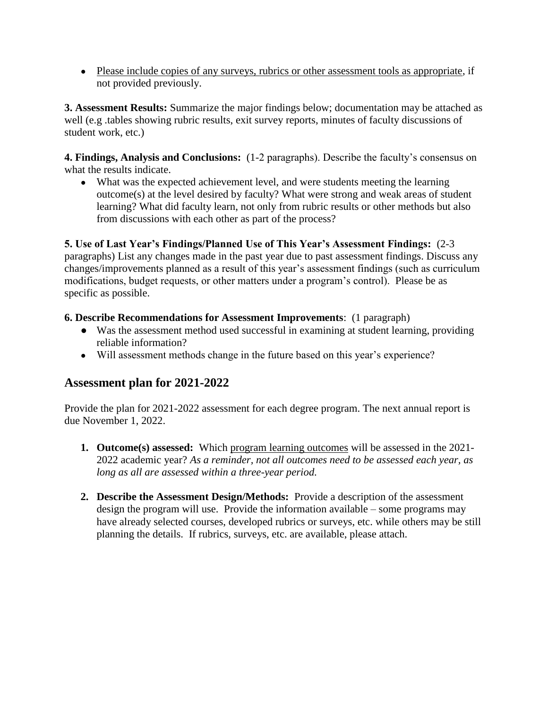• Please include copies of any surveys, rubrics or other assessment tools as appropriate, if not provided previously.

**3. Assessment Results:** Summarize the major findings below; documentation may be attached as well (e.g .tables showing rubric results, exit survey reports, minutes of faculty discussions of student work, etc.)

**4. Findings, Analysis and Conclusions:** (1-2 paragraphs). Describe the faculty's consensus on what the results indicate.

● What was the expected achievement level, and were students meeting the learning outcome(s) at the level desired by faculty? What were strong and weak areas of student learning? What did faculty learn, not only from rubric results or other methods but also from discussions with each other as part of the process?

#### **5. Use of Last Year's Findings/Planned Use of This Year's Assessment Findings:** (2-3

paragraphs) List any changes made in the past year due to past assessment findings. Discuss any changes/improvements planned as a result of this year's assessment findings (such as curriculum modifications, budget requests, or other matters under a program's control). Please be as specific as possible.

#### **6. Describe Recommendations for Assessment Improvements**: (1 paragraph)

- Was the assessment method used successful in examining at student learning, providing reliable information?
- Will assessment methods change in the future based on this year's experience?

## **Assessment plan for 2021-2022**

Provide the plan for 2021-2022 assessment for each degree program. The next annual report is due November 1, 2022.

- **1. Outcome(s) assessed:** Which program learning outcomes will be assessed in the 2021- 2022 academic year? *As a reminder, not all outcomes need to be assessed each year, as long as all are assessed within a three-year period.*
- **2. Describe the Assessment Design/Methods:** Provide a description of the assessment design the program will use. Provide the information available – some programs may have already selected courses, developed rubrics or surveys, etc. while others may be still planning the details. If rubrics, surveys, etc. are available, please attach.